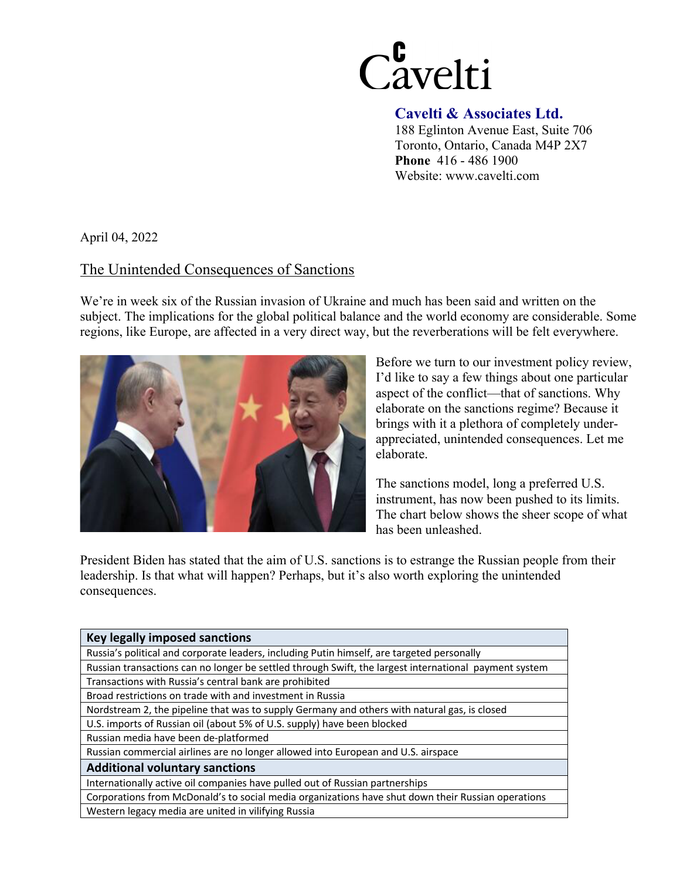

## **Cavelti & Associates Ltd.**

188 Eglinton Avenue East, Suite 706 Toronto, Ontario, Canada M4P 2X7 **Phone** 416 - 486 1900 Website: www.cavelti.com

April 04, 2022

## The Unintended Consequences of Sanctions

We're in week six of the Russian invasion of Ukraine and much has been said and written on the subject. The implications for the global political balance and the world economy are considerable. Some regions, like Europe, are affected in a very direct way, but the reverberations will be felt everywhere.



Before we turn to our investment policy review, I'd like to say a few things about one particular aspect of the conflict—that of sanctions. Why elaborate on the sanctions regime? Because it brings with it a plethora of completely underappreciated, unintended consequences. Let me elaborate.

The sanctions model, long a preferred U.S. instrument, has now been pushed to its limits. The chart below shows the sheer scope of what has been unleashed.

President Biden has stated that the aim of U.S. sanctions is to estrange the Russian people from their leadership. Is that what will happen? Perhaps, but it's also worth exploring the unintended consequences.

| <b>Key legally imposed sanctions</b>                                                                  |
|-------------------------------------------------------------------------------------------------------|
| Russia's political and corporate leaders, including Putin himself, are targeted personally            |
| Russian transactions can no longer be settled through Swift, the largest international payment system |
| Transactions with Russia's central bank are prohibited                                                |
| Broad restrictions on trade with and investment in Russia                                             |
| Nordstream 2, the pipeline that was to supply Germany and others with natural gas, is closed          |
| U.S. imports of Russian oil (about 5% of U.S. supply) have been blocked                               |
| Russian media have been de-platformed                                                                 |
| Russian commercial airlines are no longer allowed into European and U.S. airspace                     |
| <b>Additional voluntary sanctions</b>                                                                 |
| Internationally active oil companies have pulled out of Russian partnerships                          |
| Corporations from McDonald's to social media organizations have shut down their Russian operations    |
| Western legacy media are united in vilifying Russia                                                   |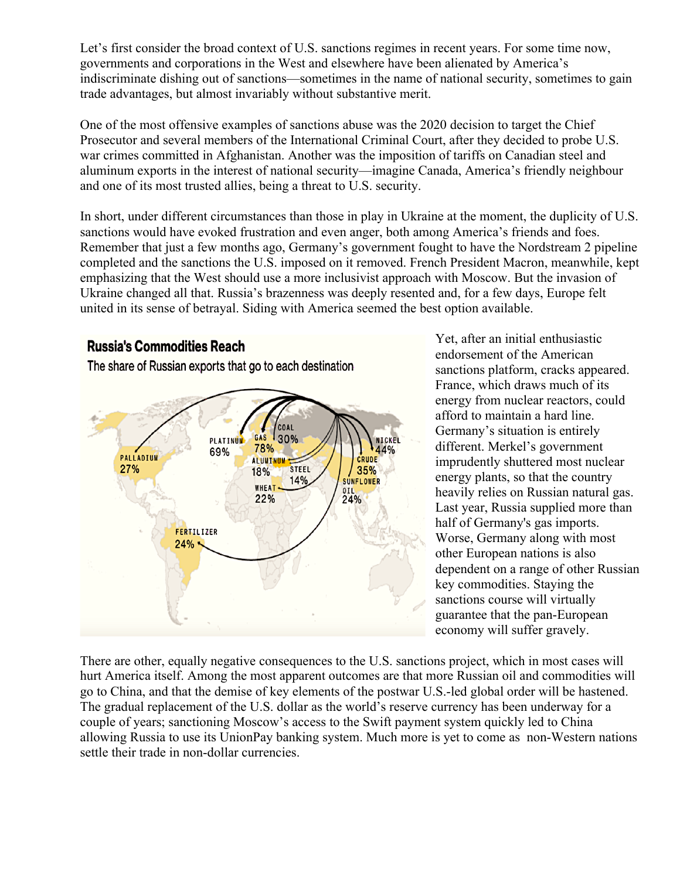Let's first consider the broad context of U.S. sanctions regimes in recent years. For some time now, governments and corporations in the West and elsewhere have been alienated by America's indiscriminate dishing out of sanctions—sometimes in the name of national security, sometimes to gain trade advantages, but almost invariably without substantive merit.

One of the most offensive examples of sanctions abuse was the 2020 decision to target the Chief Prosecutor and several members of the International Criminal Court, after they decided to probe U.S. war crimes committed in Afghanistan. Another was the imposition of tariffs on Canadian steel and aluminum exports in the interest of national security—imagine Canada, America's friendly neighbour and one of its most trusted allies, being a threat to U.S. security.

In short, under different circumstances than those in play in Ukraine at the moment, the duplicity of U.S. sanctions would have evoked frustration and even anger, both among America's friends and foes. Remember that just a few months ago, Germany's government fought to have the Nordstream 2 pipeline completed and the sanctions the U.S. imposed on it removed. French President Macron, meanwhile, kept emphasizing that the West should use a more inclusivist approach with Moscow. But the invasion of Ukraine changed all that. Russia's brazenness was deeply resented and, for a few days, Europe felt united in its sense of betrayal. Siding with America seemed the best option available.



Yet, after an initial enthusiastic endorsement of the American sanctions platform, cracks appeared. France, which draws much of its energy from nuclear reactors, could afford to maintain a hard line. Germany's situation is entirely different. Merkel's government imprudently shuttered most nuclear energy plants, so that the country heavily relies on Russian natural gas. Last year, Russia supplied more than half of Germany's gas imports. Worse, Germany along with most other European nations is also dependent on a range of other Russian key commodities. Staying the sanctions course will virtually guarantee that the pan-European economy will suffer gravely.

There are other, equally negative consequences to the U.S. sanctions project, which in most cases will hurt America itself. Among the most apparent outcomes are that more Russian oil and commodities will go to China, and that the demise of key elements of the postwar U.S.-led global order will be hastened. The gradual replacement of the U.S. dollar as the world's reserve currency has been underway for a couple of years; sanctioning Moscow's access to the Swift payment system quickly led to China allowing Russia to use its UnionPay banking system. Much more is yet to come as non-Western nations settle their trade in non-dollar currencies.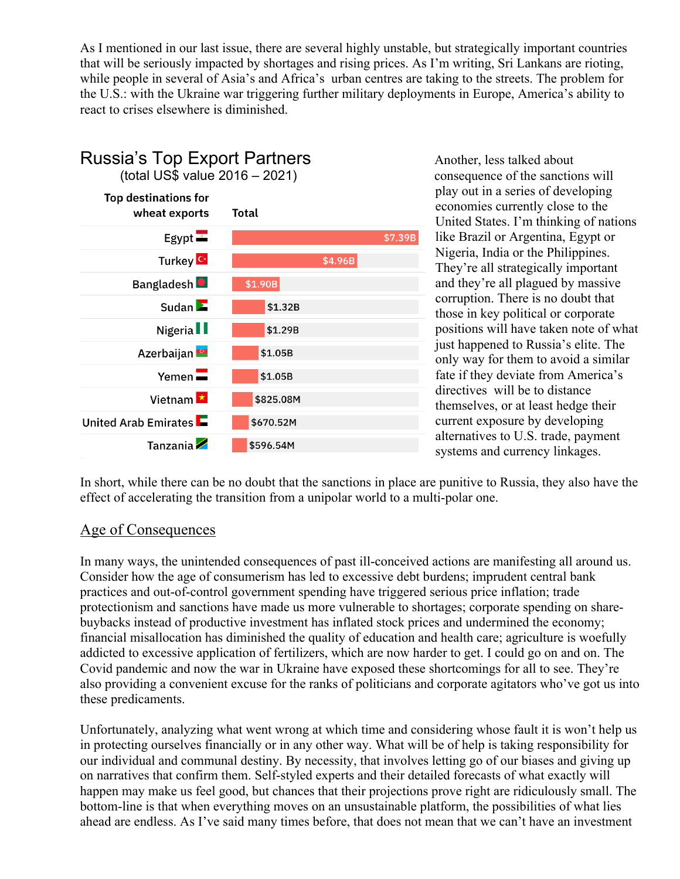As I mentioned in our last issue, there are several highly unstable, but strategically important countries that will be seriously impacted by shortages and rising prices. As I'm writing, Sri Lankans are rioting, while people in several of Asia's and Africa's urban centres are taking to the streets. The problem for the U.S.: with the Ukraine war triggering further military deployments in Europe, America's ability to react to crises elsewhere is diminished.



play out in a series of developing economies currently close to the United States. I'm thinking of nations like Brazil or Argentina, Egypt or Nigeria, India or the Philippines. They're all strategically important and they're all plagued by massive corruption. There is no doubt that those in key political or corporate positions will have taken note of what just happened to Russia's elite. The only way for them to avoid a similar fate if they deviate from America's directives will be to distance themselves, or at least hedge their current exposure by developing alternatives to U.S. trade, payment systems and currency linkages.

In short, while there can be no doubt that the sanctions in place are punitive to Russia, they also have the effect of accelerating the transition from a unipolar world to a multi-polar one.

## Age of Consequences

In many ways, the unintended consequences of past ill-conceived actions are manifesting all around us. Consider how the age of consumerism has led to excessive debt burdens; imprudent central bank practices and out-of-control government spending have triggered serious price inflation; trade protectionism and sanctions have made us more vulnerable to shortages; corporate spending on sharebuybacks instead of productive investment has inflated stock prices and undermined the economy; financial misallocation has diminished the quality of education and health care; agriculture is woefully addicted to excessive application of fertilizers, which are now harder to get. I could go on and on. The Covid pandemic and now the war in Ukraine have exposed these shortcomings for all to see. They're also providing a convenient excuse for the ranks of politicians and corporate agitators who've got us into these predicaments.

Unfortunately, analyzing what went wrong at which time and considering whose fault it is won't help us in protecting ourselves financially or in any other way. What will be of help is taking responsibility for our individual and communal destiny. By necessity, that involves letting go of our biases and giving up on narratives that confirm them. Self-styled experts and their detailed forecasts of what exactly will happen may make us feel good, but chances that their projections prove right are ridiculously small. The bottom-line is that when everything moves on an unsustainable platform, the possibilities of what lies ahead are endless. As I've said many times before, that does not mean that we can't have an investment